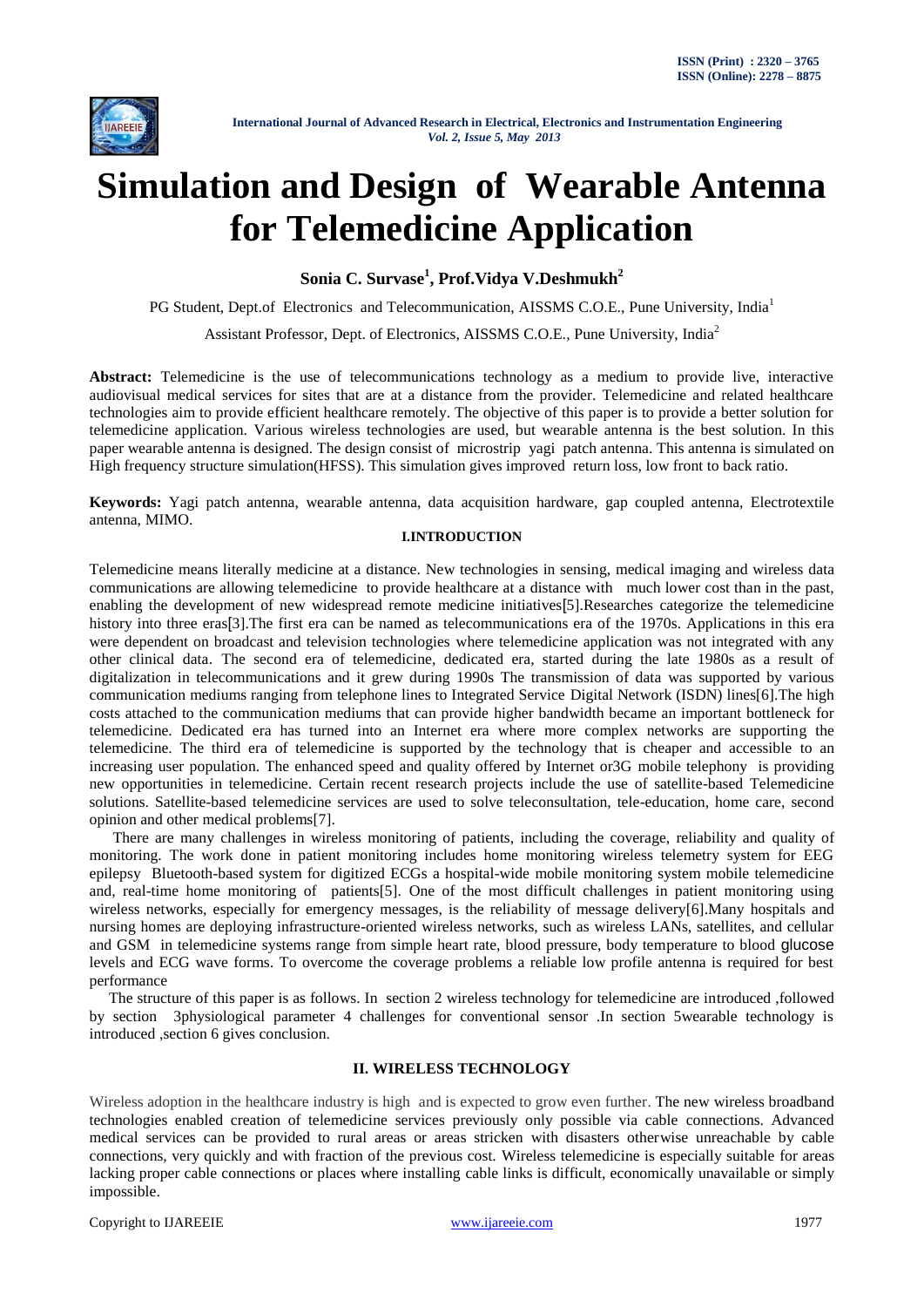

# **Simulation and Design of Wearable Antenna for Telemedicine Application**

**Sonia C. Survase<sup>1</sup> , Prof.Vidya V.Deshmukh<sup>2</sup>**

PG Student, Dept.of Electronics and Telecommunication, AISSMS C.O.E., Pune University, India<sup>1</sup>

Assistant Professor, Dept. of Electronics, AISSMS C.O.E., Pune University, India<sup>2</sup>

**Abstract:** Telemedicine is the use of telecommunications technology as a medium to provide live, interactive audiovisual medical services for sites that are at a distance from the provider. Telemedicine and related healthcare technologies aim to provide efficient healthcare remotely. The objective of this paper is to provide a better solution for telemedicine application. Various wireless technologies are used, but wearable antenna is the best solution. In this paper wearable antenna is designed. The design consist of microstrip yagi patch antenna. This antenna is simulated on High frequency structure simulation(HFSS). This simulation gives improved return loss, low front to back ratio.

**Keywords:** Yagi patch antenna, wearable antenna, data acquisition hardware, gap coupled antenna, Electrotextile antenna, MIMO.

## **I.INTRODUCTION**

Telemedicine means literally medicine at a distance. New technologies in sensing, medical imaging and wireless data communications are allowing telemedicine to provide healthcare at a distance with much lower cost than in the past, enabling the development of new widespread remote medicine initiatives[5].Researches categorize the telemedicine history into three eras<sup>[3]</sup>. The first era can be named as telecommunications era of the 1970s. Applications in this era were dependent on broadcast and television technologies where telemedicine application was not integrated with any other clinical data. The second era of telemedicine, dedicated era, started during the late 1980s as a result of digitalization in telecommunications and it grew during 1990s The transmission of data was supported by various communication mediums ranging from telephone lines to Integrated Service Digital Network (ISDN) lines[6].The high costs attached to the communication mediums that can provide higher bandwidth became an important bottleneck for telemedicine. Dedicated era has turned into an Internet era where more complex networks are supporting the telemedicine. The third era of telemedicine is supported by the technology that is cheaper and accessible to an increasing user population. The enhanced speed and quality offered by Internet or3G mobile telephony is providing new opportunities in telemedicine. Certain recent research projects include the use of satellite-based Telemedicine solutions. Satellite-based telemedicine services are used to solve teleconsultation, tele-education, home care, second opinion and other medical problems[7].

 There are many challenges in wireless monitoring of patients, including the coverage, reliability and quality of monitoring. The work done in patient monitoring includes home monitoring wireless telemetry system for EEG epilepsy Bluetooth-based system for digitized ECGs a hospital-wide mobile monitoring system mobile telemedicine and, real-time home monitoring of patients[5]. One of the most difficult challenges in patient monitoring using wireless networks, especially for emergency messages, is the reliability of message delivery[6].Many hospitals and nursing homes are deploying infrastructure-oriented wireless networks, such as wireless LANs, satellites, and cellular and GSM in telemedicine systems range from simple heart rate, blood pressure, body temperature to blood glucose levels and ECG wave forms. To overcome the coverage problems a reliable low profile antenna is required for best performance

 The structure of this paper is as follows. In section 2 wireless technology for telemedicine are introduced ,followed by section 3physiological parameter 4 challenges for conventional sensor .In section 5wearable technology is introduced ,section 6 gives conclusion.

## **II. WIRELESS TECHNOLOGY**

Wireless adoption in the healthcare industry is high and is expected to grow even further. The new wireless broadband technologies enabled creation of telemedicine services previously only possible via cable connections. Advanced medical services can be provided to rural areas or areas stricken with disasters otherwise unreachable by cable connections, very quickly and with fraction of the previous cost. Wireless telemedicine is especially suitable for areas lacking proper cable connections or places where installing cable links is difficult, economically unavailable or simply impossible.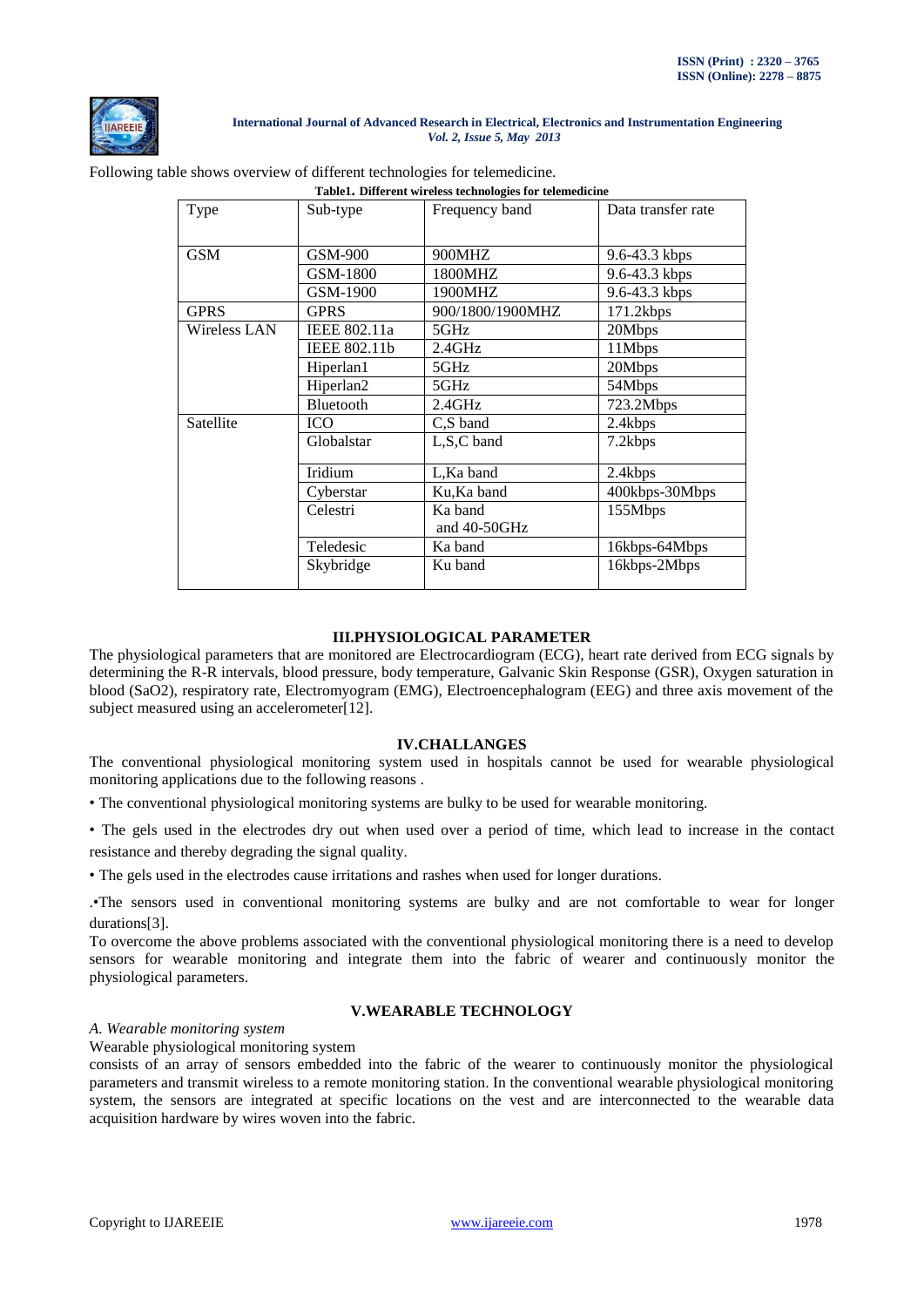

## Following table shows overview of different technologies for telemedicine.

| Table1. Different wireless technologies for telemedicine |                     |                         |                    |  |  |  |  |
|----------------------------------------------------------|---------------------|-------------------------|--------------------|--|--|--|--|
| Type                                                     | Sub-type            | Frequency band          | Data transfer rate |  |  |  |  |
|                                                          |                     |                         |                    |  |  |  |  |
| <b>GSM</b>                                               | GSM-900             | 900MHZ                  | 9.6-43.3 kbps      |  |  |  |  |
|                                                          | GSM-1800            | 1800MHZ                 | 9.6-43.3 kbps      |  |  |  |  |
|                                                          | GSM-1900            | 1900MHZ                 | 9.6-43.3 kbps      |  |  |  |  |
| <b>GPRS</b>                                              | <b>GPRS</b>         | 900/1800/1900MHZ        | 171.2kbps          |  |  |  |  |
| Wireless LAN                                             | IEEE 802.11a        | 5GHz                    | 20Mbps             |  |  |  |  |
|                                                          | <b>IEEE 802.11b</b> | 2.4GHz                  | 11Mbps             |  |  |  |  |
|                                                          | Hiperlan1           | 5GHz                    | 20Mbps             |  |  |  |  |
|                                                          | Hiperlan2           | 5GHz                    | 54Mbps             |  |  |  |  |
|                                                          | Bluetooth           | 2.4GHz                  | 723.2Mbps          |  |  |  |  |
| Satellite                                                | <b>ICO</b>          | C,S band                | 2.4kbps            |  |  |  |  |
|                                                          | Globalstar          | L,S,C band              | 7.2kbps            |  |  |  |  |
|                                                          | Iridium             | L, Ka band              | 2.4kbps            |  |  |  |  |
|                                                          | Cyberstar           | Ku, Ka band             | 400kbps-30Mbps     |  |  |  |  |
|                                                          | Celestri            | Ka band<br>and 40-50GHz | 155Mbps            |  |  |  |  |
|                                                          | Teledesic           | Ka band                 | 16kbps-64Mbps      |  |  |  |  |
|                                                          | Skybridge           | Ku band                 | 16kbps-2Mbps       |  |  |  |  |

# **III.PHYSIOLOGICAL PARAMETER**

The physiological parameters that are monitored are Electrocardiogram (ECG), heart rate derived from ECG signals by determining the R-R intervals, blood pressure, body temperature, Galvanic Skin Response (GSR), Oxygen saturation in blood (SaO2), respiratory rate, Electromyogram (EMG), Electroencephalogram (EEG) and three axis movement of the subject measured using an accelerometer[12].

#### **IV.CHALLANGES**

The conventional physiological monitoring system used in hospitals cannot be used for wearable physiological monitoring applications due to the following reasons .

- The conventional physiological monitoring systems are bulky to be used for wearable monitoring.
- The gels used in the electrodes dry out when used over a period of time, which lead to increase in the contact resistance and thereby degrading the signal quality.
- The gels used in the electrodes cause irritations and rashes when used for longer durations.

.•The sensors used in conventional monitoring systems are bulky and are not comfortable to wear for longer durations[3].

To overcome the above problems associated with the conventional physiological monitoring there is a need to develop sensors for wearable monitoring and integrate them into the fabric of wearer and continuously monitor the physiological parameters.

## **V.WEARABLE TECHNOLOGY**

## *A. Wearable monitoring system*

Wearable physiological monitoring system

consists of an array of sensors embedded into the fabric of the wearer to continuously monitor the physiological parameters and transmit wireless to a remote monitoring station. In the conventional wearable physiological monitoring system, the sensors are integrated at specific locations on the vest and are interconnected to the wearable data acquisition hardware by wires woven into the fabric.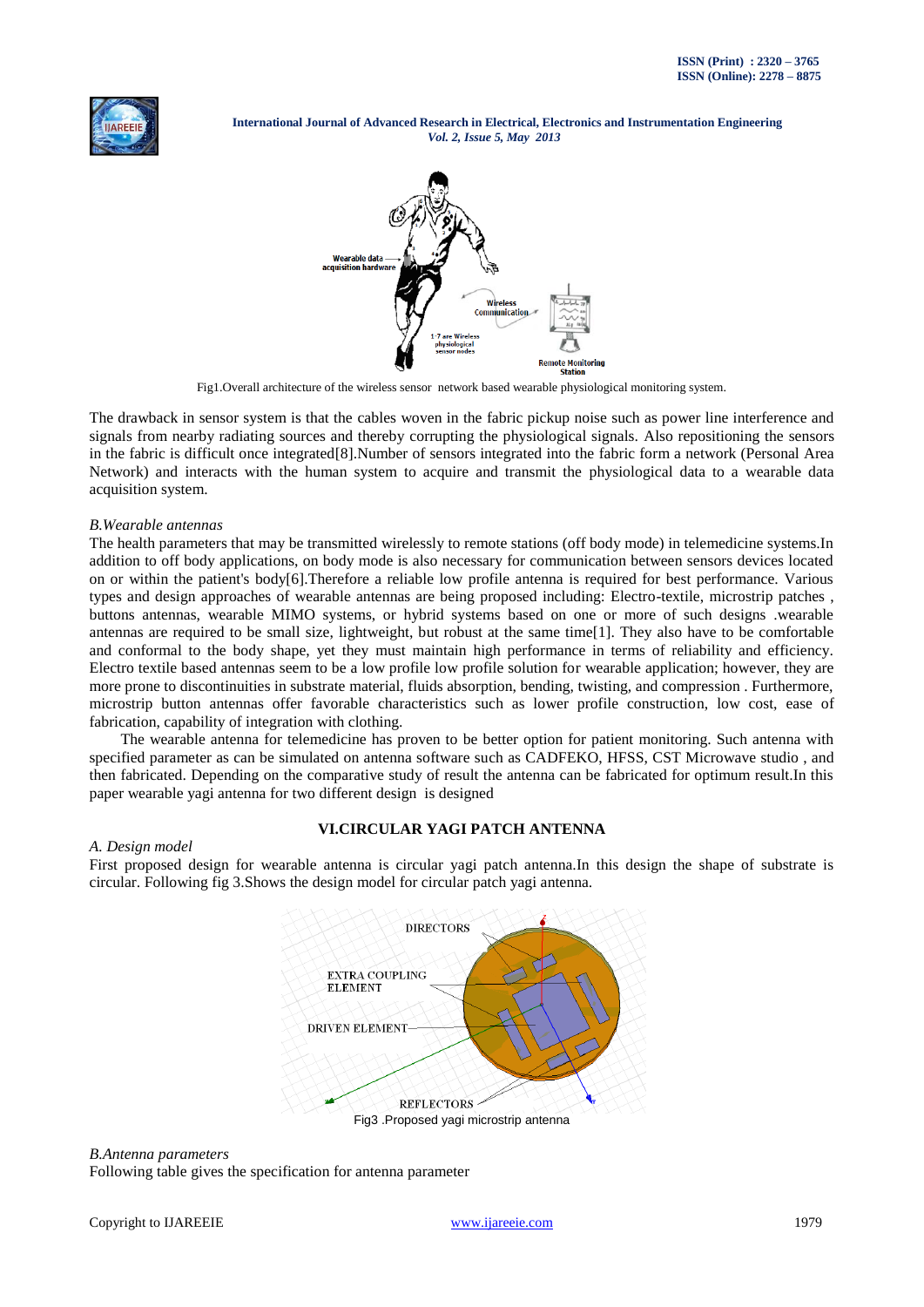



Fig1.Overall architecture of the wireless sensor network based wearable physiological monitoring system.

The drawback in sensor system is that the cables woven in the fabric pickup noise such as power line interference and signals from nearby radiating sources and thereby corrupting the physiological signals. Also repositioning the sensors in the fabric is difficult once integrated[8].Number of sensors integrated into the fabric form a network (Personal Area Network) and interacts with the human system to acquire and transmit the physiological data to a wearable data acquisition system.

#### *B.Wearable antennas*

The health parameters that may be transmitted wirelessly to remote stations (off body mode) in telemedicine systems.In addition to off body applications, on body mode is also necessary for communication between sensors devices located on or within the patient's body[6].Therefore a reliable low profile antenna is required for best performance. Various types and design approaches of wearable antennas are being proposed including: Electro-textile, microstrip patches , buttons antennas, wearable MIMO systems, or hybrid systems based on one or more of such designs .wearable antennas are required to be small size, lightweight, but robust at the same time[1]. They also have to be comfortable and conformal to the body shape, yet they must maintain high performance in terms of reliability and efficiency. Electro textile based antennas seem to be a low profile low profile solution for wearable application; however, they are more prone to discontinuities in substrate material, fluids absorption, bending, twisting, and compression . Furthermore, microstrip button antennas offer favorable characteristics such as lower profile construction, low cost, ease of fabrication, capability of integration with clothing.

 The wearable antenna for telemedicine has proven to be better option for patient monitoring. Such antenna with specified parameter as can be simulated on antenna software such as CADFEKO, HFSS, CST Microwave studio , and then fabricated. Depending on the comparative study of result the antenna can be fabricated for optimum result.In this paper wearable yagi antenna for two different design is designed

### **VI.CIRCULAR YAGI PATCH ANTENNA**

#### *A. Design model*

First proposed design for wearable antenna is circular yagi patch antenna.In this design the shape of substrate is circular. Following fig 3.Shows the design model for circular patch yagi antenna.



#### *B.Antenna parameters*

Following table gives the specification for antenna parameter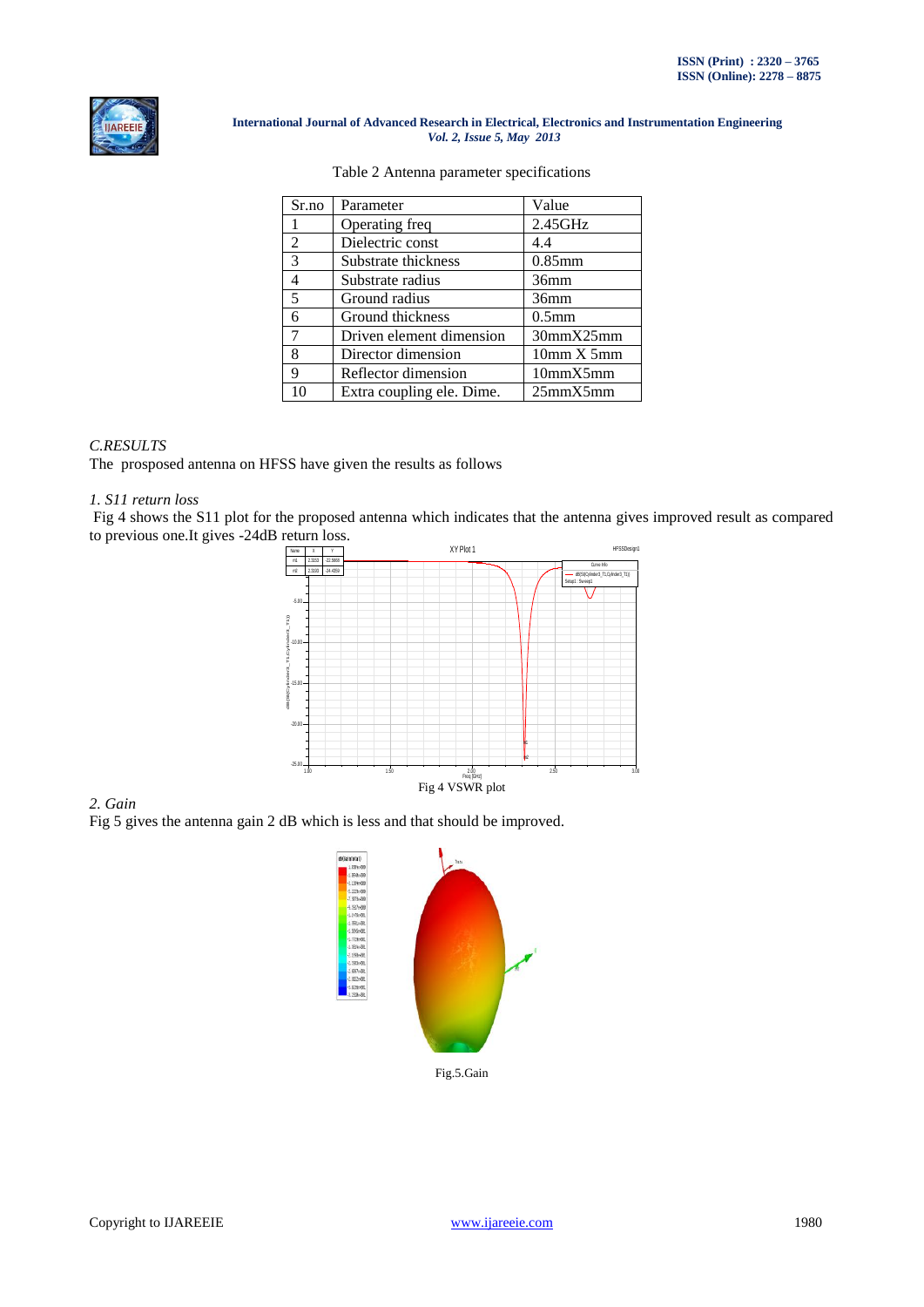

| Sr.no                    | Parameter                 | Value             |
|--------------------------|---------------------------|-------------------|
|                          | Operating freq            | 2.45GHz           |
| $\overline{2}$           | Dielectric const          | 4.4               |
| 3                        | Substrate thickness       | $0.85$ mm         |
| 4                        | Substrate radius          | 36mm              |
| $\overline{\phantom{0}}$ | Ground radius             | 36mm              |
| 6                        | Ground thickness          | 0.5 <sub>mm</sub> |
| 7                        | Driven element dimension  | 30mmX25mm         |
| 8                        | Director dimension        | 10mm X5mm         |
| 9                        | Reflector dimension       | 10mmX5mm          |
| 10                       | Extra coupling ele. Dime. | 25mmX5mm          |

#### Table 2 Antenna parameter specifications

## *C.RESULTS*

The prosposed antenna on HFSS have given the results as follows

## *1. S11 return loss*

Fig 4 shows the S11 plot for the proposed antenna which indicates that the antenna gives improved result as compared to previous one.It gives -24dB return loss.



## *2. Gain*

Fig 5 gives the antenna gain 2 dB which is less and that should be improved.

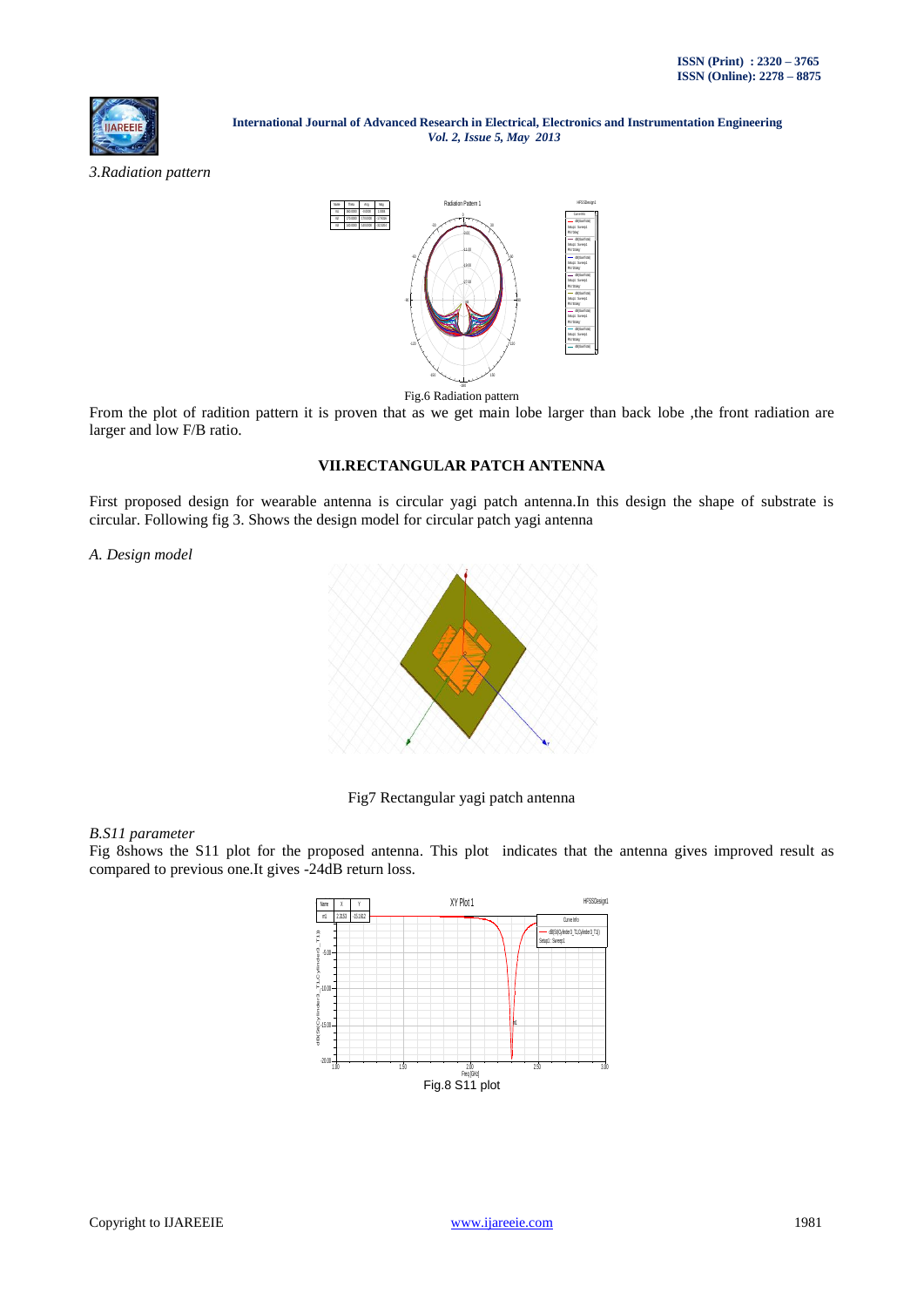

*3.Radiation pattern*



#### Fig.6 Radiation pattern

From the plot of radition pattern it is proven that as we get main lobe larger than back lobe ,the front radiation are larger and low F/B ratio.

# **VII.RECTANGULAR PATCH ANTENNA**

First proposed design for wearable antenna is circular yagi patch antenna.In this design the shape of substrate is circular. Following fig 3. Shows the design model for circular patch yagi antenna

*A. Design model*



Fig7 Rectangular yagi patch antenna

#### *B.S11 parameter*

Fig 8shows the S11 plot for the proposed antenna. This plot indicates that the antenna gives improved result as compared to previous one.It gives -24dB return loss.

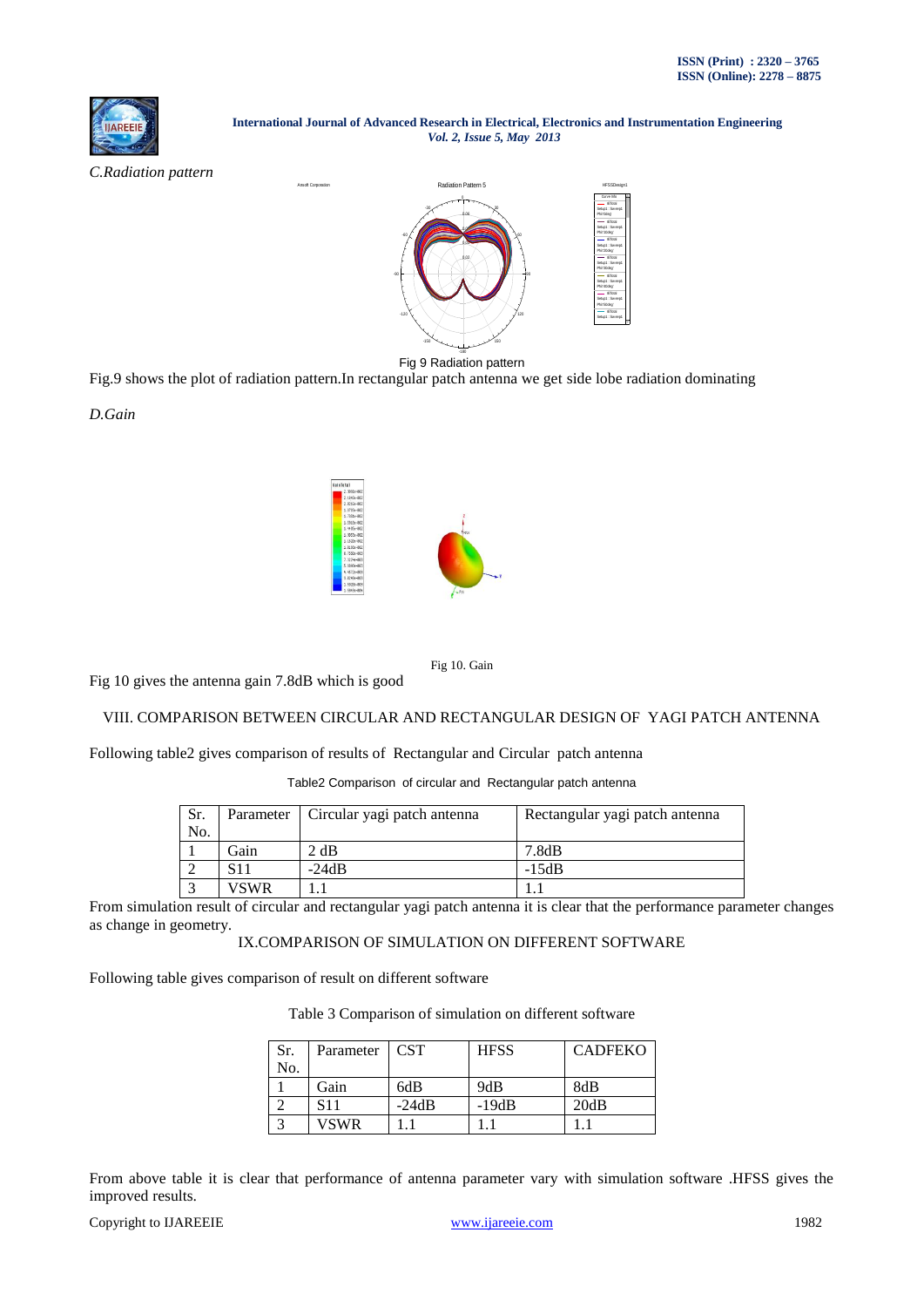

*C.Radiation pattern*



Fig 9 Radiation pattern

Fig.9 shows the plot of radiation pattern.In rectangular patch antenna we get side lobe radiation dominating

*D.Gain*



Fig 10. Gain

Fig 10 gives the antenna gain 7.8dB which is good

## VIII. COMPARISON BETWEEN CIRCULAR AND RECTANGULAR DESIGN OF YAGI PATCH ANTENNA

Following table2 gives comparison of results of Rectangular and Circular patch antenna

Table2 Comparison of circular and Rectangular patch antenna

| Sr.<br>No. |      | Parameter   Circular yagi patch antenna | Rectangular yagi patch antenna |
|------------|------|-----------------------------------------|--------------------------------|
|            | Gain | 2 dB                                    | 7.8dB                          |
|            | S11  | $-24dB$                                 | $-15dB$                        |
|            | VSWR |                                         |                                |

From simulation result of circular and rectangular yagi patch antenna it is clear that the performance parameter changes as change in geometry.

IX.COMPARISON OF SIMULATION ON DIFFERENT SOFTWARE

Following table gives comparison of result on different software

Table 3 Comparison of simulation on different software

| Sr. | Parameter       | <b>CST</b> | <b>HFSS</b> | <b>CADFEKO</b> |
|-----|-----------------|------------|-------------|----------------|
| No. |                 |            |             |                |
|     | Gain            | 6dB        | 9dB         | 8dB            |
|     | S <sub>11</sub> | $-24dB$    | $-19dB$     | 20dB           |
|     | VSWR            |            |             |                |

From above table it is clear that performance of antenna parameter vary with simulation software .HFSS gives the improved results.